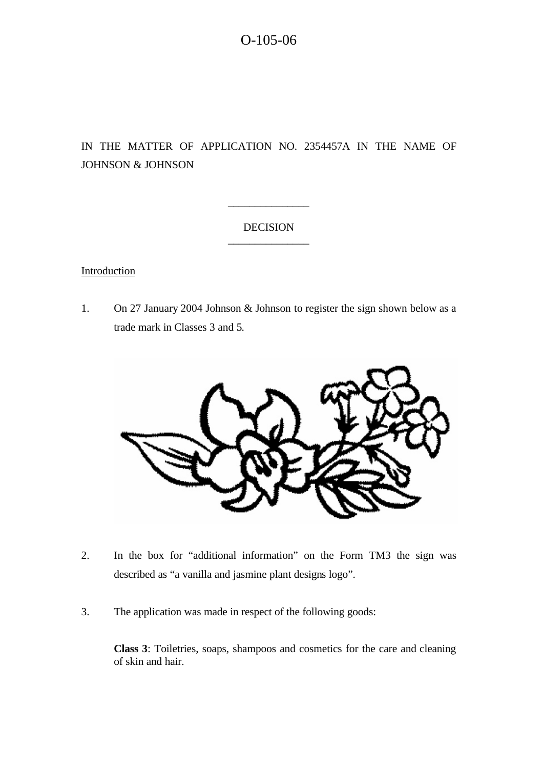# IN THE MATTER OF APPLICATION NO. 2354457A IN THE NAME OF JOHNSON & JOHNSON

# DECISION \_\_\_\_\_\_\_\_\_\_\_\_\_\_\_

\_\_\_\_\_\_\_\_\_\_\_\_\_\_\_

# **Introduction**

1. On 27 January 2004 Johnson & Johnson to register the sign shown below as a trade mark in Classes 3 and 5.



- 2. In the box for "additional information" on the Form TM3 the sign was described as "a vanilla and jasmine plant designs logo".
- 3. The application was made in respect of the following goods:

**Class 3**: Toiletries, soaps, shampoos and cosmetics for the care and cleaning of skin and hair.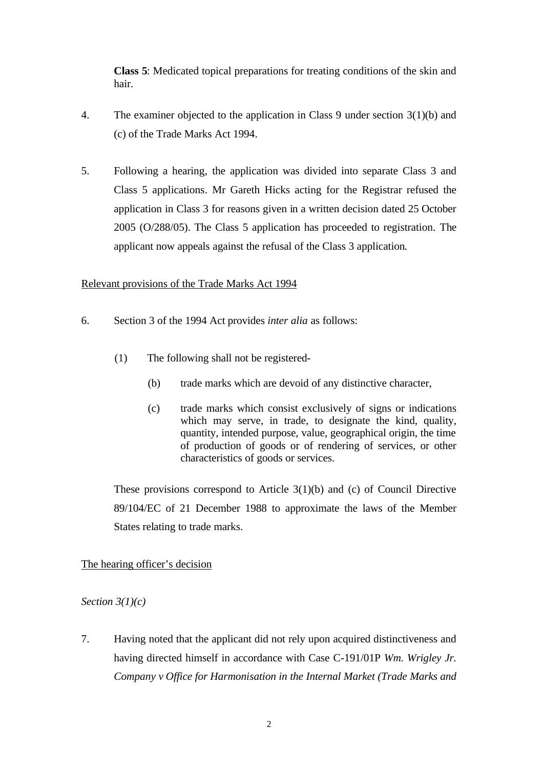**Class 5**: Medicated topical preparations for treating conditions of the skin and hair.

- 4. The examiner objected to the application in Class 9 under section 3(1)(b) and (c) of the Trade Marks Act 1994.
- 5. Following a hearing, the application was divided into separate Class 3 and Class 5 applications. Mr Gareth Hicks acting for the Registrar refused the application in Class 3 for reasons given in a written decision dated 25 October 2005 (O/288/05). The Class 5 application has proceeded to registration. The applicant now appeals against the refusal of the Class 3 application.

# Relevant provisions of the Trade Marks Act 1994

- 6. Section 3 of the 1994 Act provides *inter alia* as follows:
	- (1) The following shall not be registered-
		- (b) trade marks which are devoid of any distinctive character,
		- (c) trade marks which consist exclusively of signs or indications which may serve, in trade, to designate the kind, quality, quantity, intended purpose, value, geographical origin, the time of production of goods or of rendering of services, or other characteristics of goods or services.

These provisions correspond to Article 3(1)(b) and (c) of Council Directive 89/104/EC of 21 December 1988 to approximate the laws of the Member States relating to trade marks.

# The hearing officer's decision

# *Section 3(1)(c)*

7. Having noted that the applicant did not rely upon acquired distinctiveness and having directed himself in accordance with Case C-191/01P *Wm. Wrigley Jr. Company v Office for Harmonisation in the Internal Market (Trade Marks and*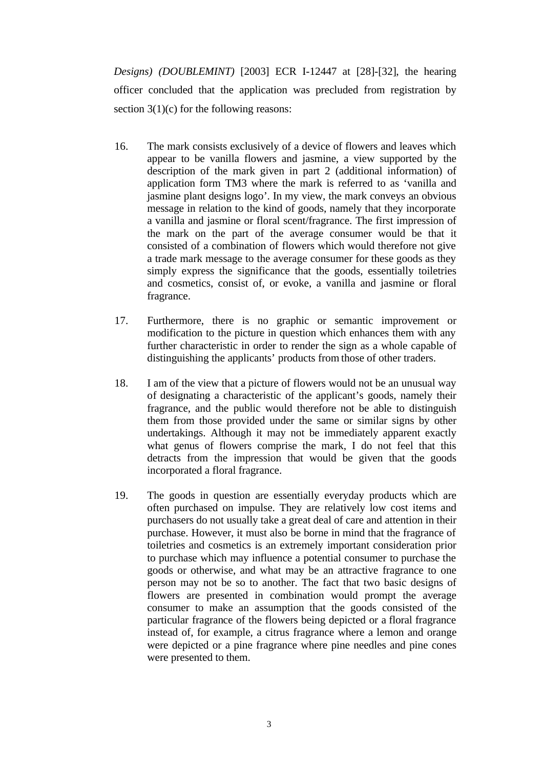*Designs) (DOUBLEMINT)* [2003] ECR I-12447 at [28]-[32], the hearing officer concluded that the application was precluded from registration by section  $3(1)(c)$  for the following reasons:

- 16. The mark consists exclusively of a device of flowers and leaves which appear to be vanilla flowers and jasmine, a view supported by the description of the mark given in part 2 (additional information) of application form TM3 where the mark is referred to as 'vanilla and jasmine plant designs logo'. In my view, the mark conveys an obvious message in relation to the kind of goods, namely that they incorporate a vanilla and jasmine or floral scent/fragrance. The first impression of the mark on the part of the average consumer would be that it consisted of a combination of flowers which would therefore not give a trade mark message to the average consumer for these goods as they simply express the significance that the goods, essentially toiletries and cosmetics, consist of, or evoke, a vanilla and jasmine or floral fragrance.
- 17. Furthermore, there is no graphic or semantic improvement or modification to the picture in question which enhances them with any further characteristic in order to render the sign as a whole capable of distinguishing the applicants' products from those of other traders.
- 18. I am of the view that a picture of flowers would not be an unusual way of designating a characteristic of the applicant's goods, namely their fragrance, and the public would therefore not be able to distinguish them from those provided under the same or similar signs by other undertakings. Although it may not be immediately apparent exactly what genus of flowers comprise the mark, I do not feel that this detracts from the impression that would be given that the goods incorporated a floral fragrance.
- 19. The goods in question are essentially everyday products which are often purchased on impulse. They are relatively low cost items and purchasers do not usually take a great deal of care and attention in their purchase. However, it must also be borne in mind that the fragrance of toiletries and cosmetics is an extremely important consideration prior to purchase which may influence a potential consumer to purchase the goods or otherwise, and what may be an attractive fragrance to one person may not be so to another. The fact that two basic designs of flowers are presented in combination would prompt the average consumer to make an assumption that the goods consisted of the particular fragrance of the flowers being depicted or a floral fragrance instead of, for example, a citrus fragrance where a lemon and orange were depicted or a pine fragrance where pine needles and pine cones were presented to them.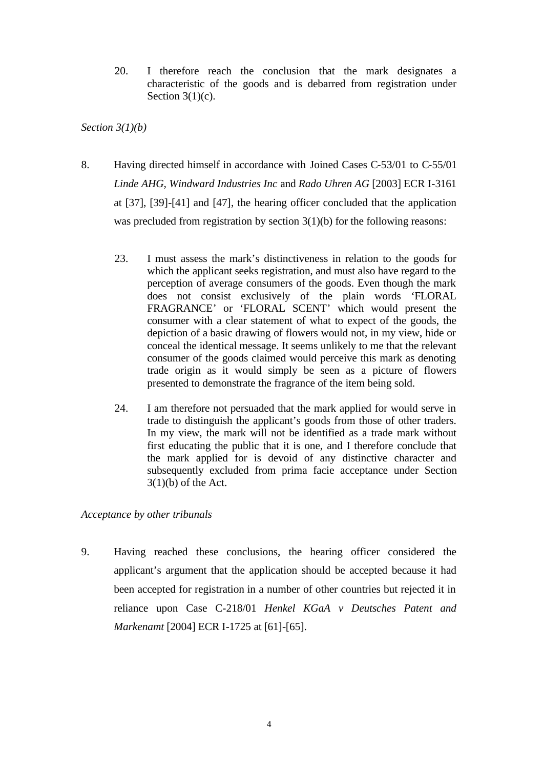20. I therefore reach the conclusion that the mark designates a characteristic of the goods and is debarred from registration under Section  $3(1)(c)$ .

*Section 3(1)(b)*

- 8. Having directed himself in accordance with Joined Cases C-53/01 to C-55/01 *Linde AHG, Windward Industries Inc* and *Rado Uhren AG* [2003] ECR I-3161 at [37], [39]-[41] and [47], the hearing officer concluded that the application was precluded from registration by section 3(1)(b) for the following reasons:
	- 23. I must assess the mark's distinctiveness in relation to the goods for which the applicant seeks registration, and must also have regard to the perception of average consumers of the goods. Even though the mark does not consist exclusively of the plain words 'FLORAL FRAGRANCE' or 'FLORAL SCENT' which would present the consumer with a clear statement of what to expect of the goods, the depiction of a basic drawing of flowers would not, in my view, hide or conceal the identical message. It seems unlikely to me that the relevant consumer of the goods claimed would perceive this mark as denoting trade origin as it would simply be seen as a picture of flowers presented to demonstrate the fragrance of the item being sold.
	- 24. I am therefore not persuaded that the mark applied for would serve in trade to distinguish the applicant's goods from those of other traders. In my view, the mark will not be identified as a trade mark without first educating the public that it is one, and I therefore conclude that the mark applied for is devoid of any distinctive character and subsequently excluded from prima facie acceptance under Section  $3(1)(b)$  of the Act.

# *Acceptance by other tribunals*

9. Having reached these conclusions, the hearing officer considered the applicant's argument that the application should be accepted because it had been accepted for registration in a number of other countries but rejected it in reliance upon Case C-218/01 *Henkel KGaA v Deutsches Patent and Markenamt* [2004] ECR I-1725 at [61]-[65].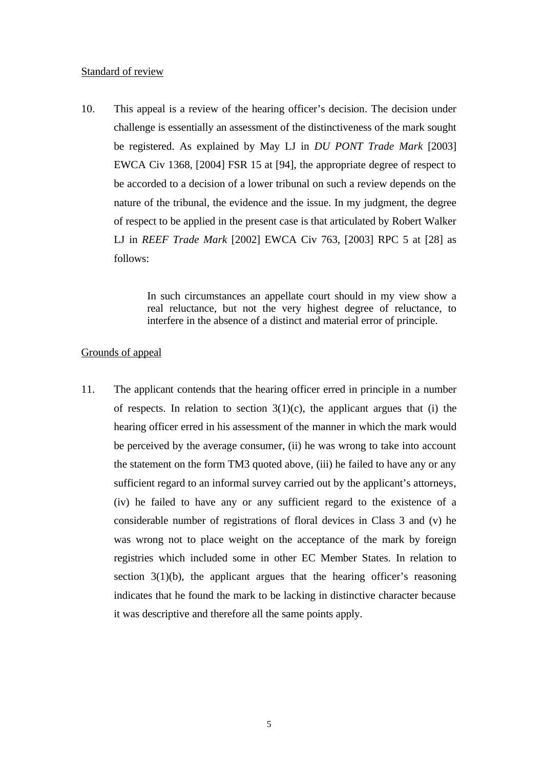#### Standard of review

10. This appeal is a review of the hearing officer's decision. The decision under challenge is essentially an assessment of the distinctiveness of the mark sought be registered. As explained by May LJ in *DU PONT Trade Mark* [2003] EWCA Civ 1368, [2004] FSR 15 at [94], the appropriate degree of respect to be accorded to a decision of a lower tribunal on such a review depends on the nature of the tribunal, the evidence and the issue. In my judgment, the degree of respect to be applied in the present case is that articulated by Robert Walker LJ in *REEF Trade Mark* [2002] EWCA Civ 763, [2003] RPC 5 at [28] as follows:

> In such circumstances an appellate court should in my view show a real reluctance, but not the very highest degree of reluctance, to interfere in the absence of a distinct and material error of principle.

### Grounds of appeal

11. The applicant contends that the hearing officer erred in principle in a number of respects. In relation to section  $3(1)(c)$ , the applicant argues that (i) the hearing officer erred in his assessment of the manner in which the mark would be perceived by the average consumer, (ii) he was wrong to take into account the statement on the form TM3 quoted above, (iii) he failed to have any or any sufficient regard to an informal survey carried out by the applicant's attorneys, (iv) he failed to have any or any sufficient regard to the existence of a considerable number of registrations of floral devices in Class 3 and (v) he was wrong not to place weight on the acceptance of the mark by foreign registries which included some in other EC Member States. In relation to section  $3(1)(b)$ , the applicant argues that the hearing officer's reasoning indicates that he found the mark to be lacking in distinctive character because it was descriptive and therefore all the same points apply.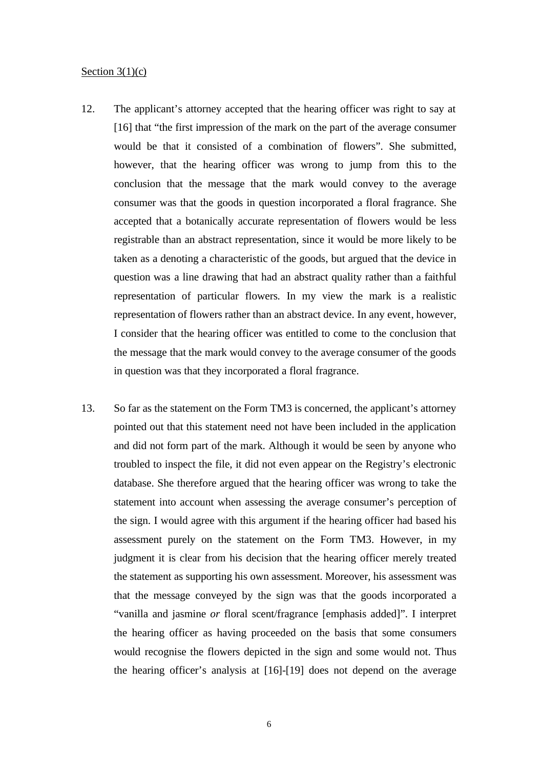#### Section  $3(1)(c)$

- 12. The applicant's attorney accepted that the hearing officer was right to say at [16] that "the first impression of the mark on the part of the average consumer would be that it consisted of a combination of flowers". She submitted, however, that the hearing officer was wrong to jump from this to the conclusion that the message that the mark would convey to the average consumer was that the goods in question incorporated a floral fragrance. She accepted that a botanically accurate representation of flowers would be less registrable than an abstract representation, since it would be more likely to be taken as a denoting a characteristic of the goods, but argued that the device in question was a line drawing that had an abstract quality rather than a faithful representation of particular flowers. In my view the mark is a realistic representation of flowers rather than an abstract device. In any event, however, I consider that the hearing officer was entitled to come to the conclusion that the message that the mark would convey to the average consumer of the goods in question was that they incorporated a floral fragrance.
- 13. So far as the statement on the Form TM3 is concerned, the applicant's attorney pointed out that this statement need not have been included in the application and did not form part of the mark. Although it would be seen by anyone who troubled to inspect the file, it did not even appear on the Registry's electronic database. She therefore argued that the hearing officer was wrong to take the statement into account when assessing the average consumer's perception of the sign. I would agree with this argument if the hearing officer had based his assessment purely on the statement on the Form TM3. However, in my judgment it is clear from his decision that the hearing officer merely treated the statement as supporting his own assessment. Moreover, his assessment was that the message conveyed by the sign was that the goods incorporated a "vanilla and jasmine *or* floral scent/fragrance [emphasis added]". I interpret the hearing officer as having proceeded on the basis that some consumers would recognise the flowers depicted in the sign and some would not. Thus the hearing officer's analysis at [16]-[19] does not depend on the average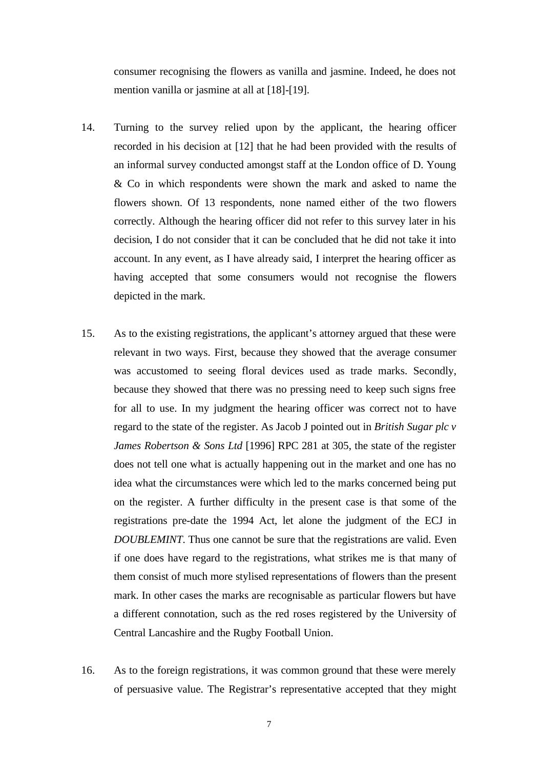consumer recognising the flowers as vanilla and jasmine. Indeed, he does not mention vanilla or jasmine at all at [18]-[19].

- 14. Turning to the survey relied upon by the applicant, the hearing officer recorded in his decision at [12] that he had been provided with the results of an informal survey conducted amongst staff at the London office of D. Young & Co in which respondents were shown the mark and asked to name the flowers shown. Of 13 respondents, none named either of the two flowers correctly. Although the hearing officer did not refer to this survey later in his decision, I do not consider that it can be concluded that he did not take it into account. In any event, as I have already said, I interpret the hearing officer as having accepted that some consumers would not recognise the flowers depicted in the mark.
- 15. As to the existing registrations, the applicant's attorney argued that these were relevant in two ways. First, because they showed that the average consumer was accustomed to seeing floral devices used as trade marks. Secondly, because they showed that there was no pressing need to keep such signs free for all to use. In my judgment the hearing officer was correct not to have regard to the state of the register. As Jacob J pointed out in *British Sugar plc v James Robertson & Sons Ltd* [1996] RPC 281 at 305, the state of the register does not tell one what is actually happening out in the market and one has no idea what the circumstances were which led to the marks concerned being put on the register. A further difficulty in the present case is that some of the registrations pre-date the 1994 Act, let alone the judgment of the ECJ in *DOUBLEMINT*. Thus one cannot be sure that the registrations are valid. Even if one does have regard to the registrations, what strikes me is that many of them consist of much more stylised representations of flowers than the present mark. In other cases the marks are recognisable as particular flowers but have a different connotation, such as the red roses registered by the University of Central Lancashire and the Rugby Football Union.
- 16. As to the foreign registrations, it was common ground that these were merely of persuasive value. The Registrar's representative accepted that they might